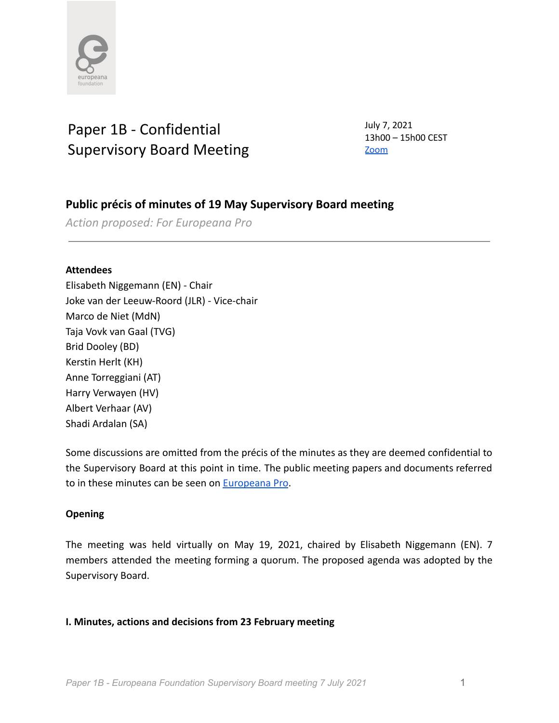

# Paper 1B - Confidential Supervisory Board Meeting

July 7, 2021 13h00 – 15h00 CEST [Zoom](https://zoom.us/j/93281563757)

# **Public précis of minutes of 19 May Supervisory Board meeting**

*Action proposed: For Europeana Pro*

### **Attendees**

Elisabeth Niggemann (EN) - Chair Joke van der Leeuw-Roord (JLR) - Vice-chair Marco de Niet (MdN) Taja Vovk van Gaal (TVG) Brid Dooley (BD) Kerstin Herlt (KH) Anne Torreggiani (AT) Harry Verwayen (HV) Albert Verhaar (AV) Shadi Ardalan (SA)

Some discussions are omitted from the précis of the minutes as they are deemed confidential to the Supervisory Board at this point in time. The public meeting papers and documents referred to in these minutes can be seen on [Europeana Pro](https://pro.europeana.eu/about-us/foundation).

# **Opening**

The meeting was held virtually on May 19, 2021, chaired by Elisabeth Niggemann (EN). 7 members attended the meeting forming a quorum. The proposed agenda was adopted by the Supervisory Board.

# **I. Minutes, actions and decisions from 23 February meeting**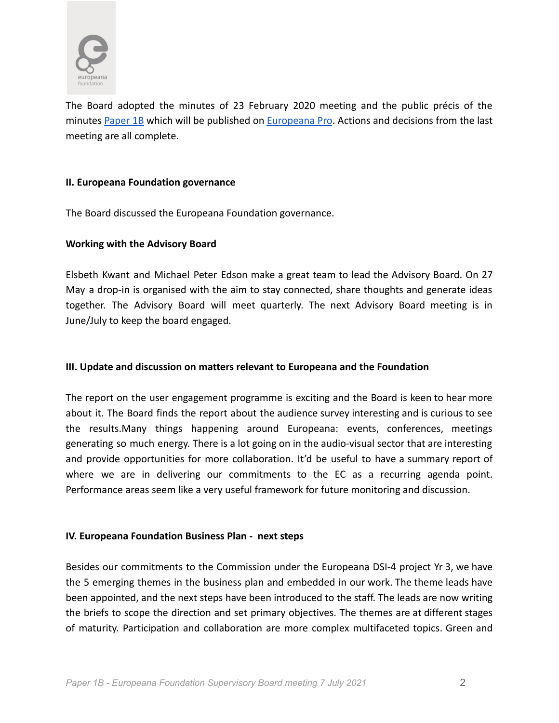

The Board adopted the minutes of 23 February 2020 meeting and the public précis of the minutes [Paper](https://docs.google.com/document/d/1Uzdw2w-OO8s3Ef147wcVyA5-iTAmJnD8royfdxIiwJk/edit) 1B which will be published on [Europeana](https://pro.europeana.eu/about-us/foundation) Pro. Actions and decisions from the last meeting are all complete.

#### **II. Europeana Foundation governance**

The Board discussed the Europeana Foundation governance.

# **Working with the Advisory Board**

Elsbeth Kwant and Michael Peter Edson make a great team to lead the Advisory Board. On 27 May a drop-in is organised with the aim to stay connected, share thoughts and generate ideas together. The Advisory Board will meet quarterly. The next Advisory Board meeting is in June/July to keep the board engaged.

# **III. Update and discussion on matters relevant to Europeana and the Foundation**

The report on the user engagement programme is exciting and the Board is keen to hear more about it. The Board finds the report about the audience survey interesting and is curious to see the results.Many things happening around Europeana: events, conferences, meetings generating so much energy. There is a lot going on in the audio-visual sector that are interesting and provide opportunities for more collaboration. It'd be useful to have a summary report of where we are in delivering our commitments to the EC as a recurring agenda point. Performance areas seem like a very useful framework for future monitoring and discussion.

#### **IV. Europeana Foundation Business Plan - next steps**

Besides our commitments to the Commission under the Europeana DSI-4 project Yr 3, we have the 5 emerging themes in the business plan and embedded in our work. The theme leads have been appointed, and the next steps have been introduced to the staff. The leads are now writing the briefs to scope the direction and set primary objectives. The themes are at different stages of maturity. Participation and collaboration are more complex multifaceted topics. Green and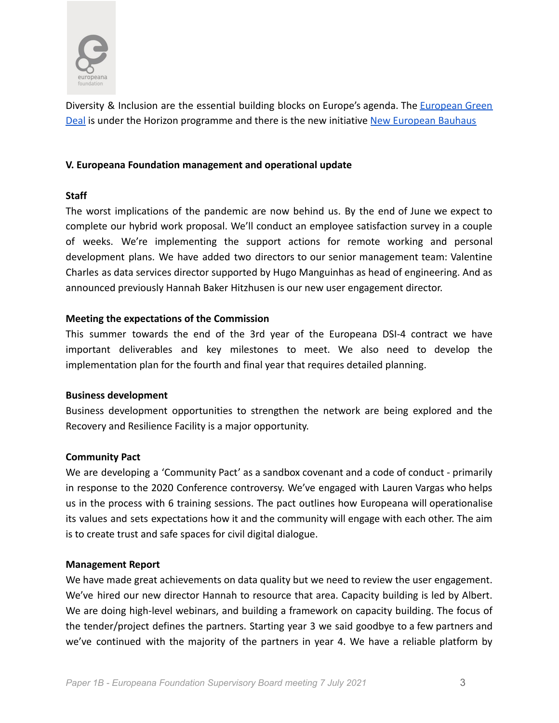

Diversity & Inclusion are the essential building blocks on Europe's agenda. The *[European](https://ec.europa.eu/info/strategy/priorities-2019-2024/european-green-deal_en) Green* [Deal](https://ec.europa.eu/info/strategy/priorities-2019-2024/european-green-deal_en) is under the Horizon programme and there is the new initiative [New European Bauhaus](https://europa.eu/new-european-bauhaus/index_en)

# **V. Europeana Foundation management and operational update**

#### **Staff**

The worst implications of the pandemic are now behind us. By the end of June we expect to complete our hybrid work proposal. We'll conduct an employee satisfaction survey in a couple of weeks. We're implementing the support actions for remote working and personal development plans. We have added two directors to our senior management team: Valentine Charles as data services director supported by Hugo Manguinhas as head of engineering. And as announced previously Hannah Baker Hitzhusen is our new user engagement director.

#### **Meeting the expectations of the Commission**

This summer towards the end of the 3rd year of the Europeana DSI-4 contract we have important deliverables and key milestones to meet. We also need to develop the implementation plan for the fourth and final year that requires detailed planning.

#### **Business development**

Business development opportunities to strengthen the network are being explored and the Recovery and Resilience Facility is a major opportunity.

#### **Community Pact**

We are developing a 'Community Pact' as a sandbox covenant and a code of conduct - primarily in response to the 2020 Conference controversy. We've engaged with Lauren Vargas who helps us in the process with 6 training sessions. The pact outlines how Europeana will operationalise its values and sets expectations how it and the community will engage with each other. The aim is to create trust and safe spaces for civil digital dialogue.

#### **Management Report**

We have made great achievements on data quality but we need to review the user engagement. We've hired our new director Hannah to resource that area. Capacity building is led by Albert. We are doing high-level webinars, and building a framework on capacity building. The focus of the tender/project defines the partners. Starting year 3 we said goodbye to a few partners and we've continued with the majority of the partners in year 4. We have a reliable platform by